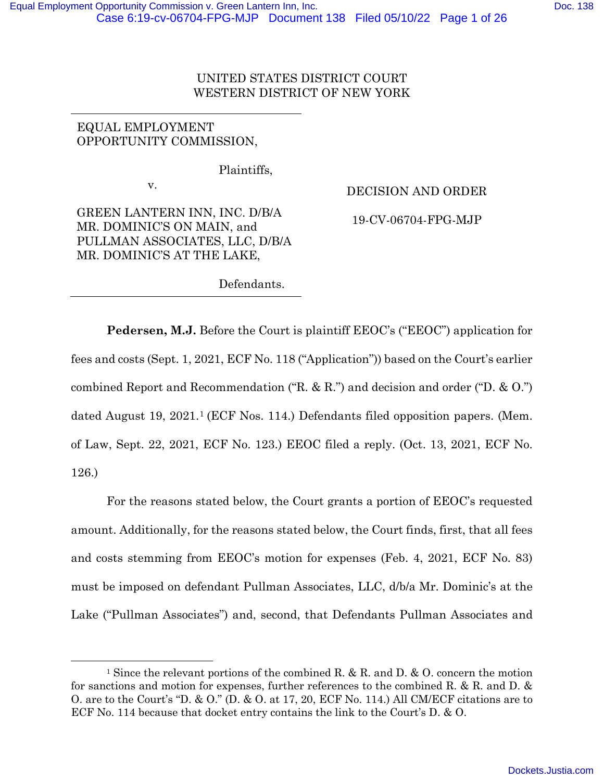## UNITED STATES DISTRICT COURT WESTERN DISTRICT OF NEW YORK

# EQUAL EMPLOYMENT OPPORTUNITY COMMISSION,

Plaintiffs,

v.

GREEN LANTERN INN, INC. D/B/A MR. DOMINIC'S ON MAIN, and PULLMAN ASSOCIATES, LLC, D/B/A MR. DOMINIC'S AT THE LAKE,

DECISION AND ORDER

19-CV-06704-FPG-MJP

Defendants.

**Pedersen, M.J.** Before the Court is plaintiff EEOC's ("EEOC") application for fees and costs (Sept. 1, 2021, ECF No. 118 ("Application")) based on the Court's earlier combined Report and Recommendation ("R. & R.") and decision and order ("D. & O.") dated August 19, 2021.1 (ECF Nos. 114.) Defendants filed opposition papers. (Mem. of Law, Sept. 22, 2021, ECF No. 123.) EEOC filed a reply. (Oct. 13, 2021, ECF No. 126.)

For the reasons stated below, the Court grants a portion of EEOC's requested amount. Additionally, for the reasons stated below, the Court finds, first, that all fees and costs stemming from EEOC's motion for expenses (Feb. 4, 2021, ECF No. 83) must be imposed on defendant Pullman Associates, LLC, d/b/a Mr. Dominic's at the Lake ("Pullman Associates") and, second, that Defendants Pullman Associates and

<sup>&</sup>lt;sup>1</sup> Since the relevant portions of the combined R. & R. and D. & O. concern the motion for sanctions and motion for expenses, further references to the combined R. & R. and D. & O. are to the Court's "D. & O." (D. & O. at 17, 20, ECF No. 114.) All CM/ECF citations are to ECF No. 114 because that docket entry contains the link to the Court's D. & O.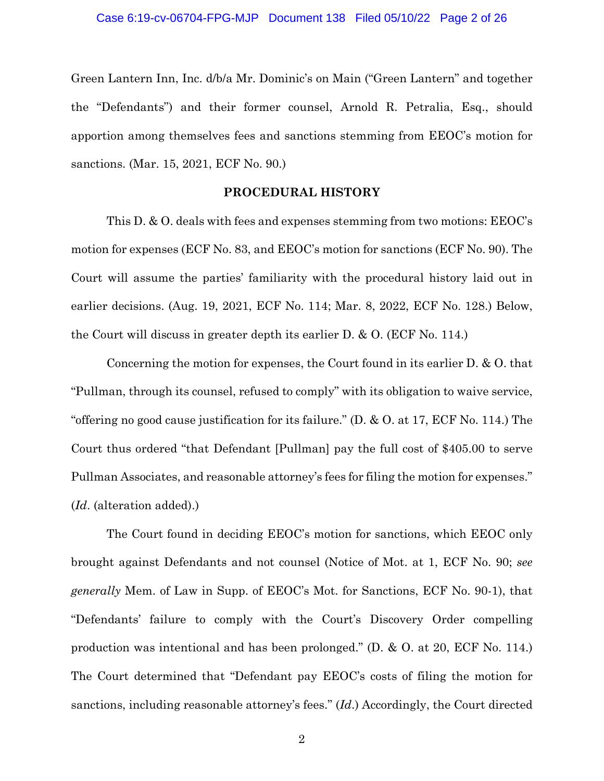### Case 6:19-cv-06704-FPG-MJP Document 138 Filed 05/10/22 Page 2 of 26

Green Lantern Inn, Inc. d/b/a Mr. Dominic's on Main ("Green Lantern" and together the "Defendants") and their former counsel, Arnold R. Petralia, Esq., should apportion among themselves fees and sanctions stemming from EEOC's motion for sanctions. (Mar. 15, 2021, ECF No. 90.)

### **PROCEDURAL HISTORY**

This D. & O. deals with fees and expenses stemming from two motions: EEOC's motion for expenses (ECF No. 83, and EEOC's motion for sanctions (ECF No. 90). The Court will assume the parties' familiarity with the procedural history laid out in earlier decisions. (Aug. 19, 2021, ECF No. 114; Mar. 8, 2022, ECF No. 128.) Below, the Court will discuss in greater depth its earlier D. & O. (ECF No. 114.)

Concerning the motion for expenses, the Court found in its earlier D. & O. that "Pullman, through its counsel, refused to comply" with its obligation to waive service, "offering no good cause justification for its failure." (D. & O. at 17, ECF No. 114.) The Court thus ordered "that Defendant [Pullman] pay the full cost of \$405.00 to serve Pullman Associates, and reasonable attorney's fees for filing the motion for expenses." (*Id*. (alteration added).)

The Court found in deciding EEOC's motion for sanctions, which EEOC only brought against Defendants and not counsel (Notice of Mot. at 1, ECF No. 90; *see generally* Mem. of Law in Supp. of EEOC's Mot. for Sanctions, ECF No. 90-1), that "Defendants' failure to comply with the Court's Discovery Order compelling production was intentional and has been prolonged." (D. & O. at 20, ECF No. 114.) The Court determined that "Defendant pay EEOC's costs of filing the motion for sanctions, including reasonable attorney's fees." (*Id*.) Accordingly, the Court directed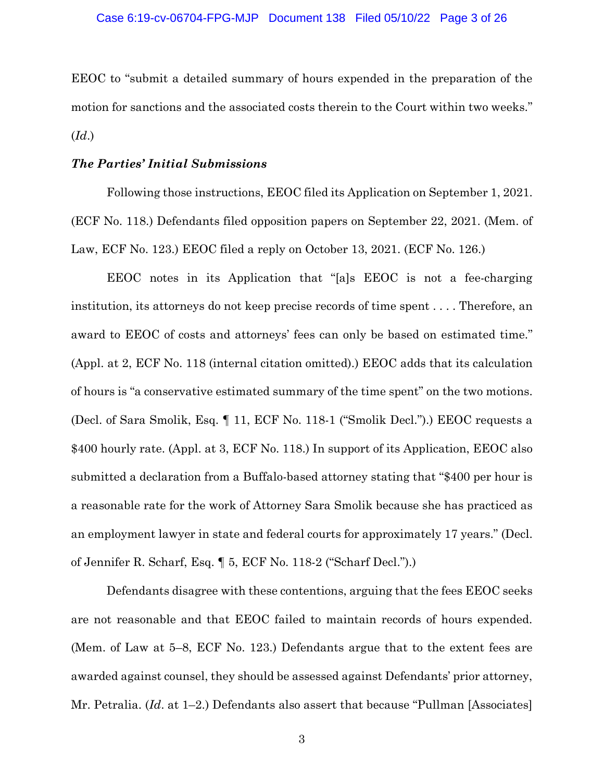EEOC to "submit a detailed summary of hours expended in the preparation of the motion for sanctions and the associated costs therein to the Court within two weeks." (*Id*.)

### *The Parties' Initial Submissions*

Following those instructions, EEOC filed its Application on September 1, 2021. (ECF No. 118.) Defendants filed opposition papers on September 22, 2021. (Mem. of Law, ECF No. 123.) EEOC filed a reply on October 13, 2021. (ECF No. 126.)

EEOC notes in its Application that "[a]s EEOC is not a fee-charging institution, its attorneys do not keep precise records of time spent . . . . Therefore, an award to EEOC of costs and attorneys' fees can only be based on estimated time." (Appl. at 2, ECF No. 118 (internal citation omitted).) EEOC adds that its calculation of hours is "a conservative estimated summary of the time spent" on the two motions. (Decl. of Sara Smolik, Esq. ¶ 11, ECF No. 118-1 ("Smolik Decl.").) EEOC requests a \$400 hourly rate. (Appl. at 3, ECF No. 118.) In support of its Application, EEOC also submitted a declaration from a Buffalo-based attorney stating that "\$400 per hour is a reasonable rate for the work of Attorney Sara Smolik because she has practiced as an employment lawyer in state and federal courts for approximately 17 years." (Decl. of Jennifer R. Scharf, Esq. ¶ 5, ECF No. 118-2 ("Scharf Decl.").)

Defendants disagree with these contentions, arguing that the fees EEOC seeks are not reasonable and that EEOC failed to maintain records of hours expended. (Mem. of Law at 5–8, ECF No. 123.) Defendants argue that to the extent fees are awarded against counsel, they should be assessed against Defendants' prior attorney, Mr. Petralia. (*Id*. at 1–2.) Defendants also assert that because "Pullman [Associates]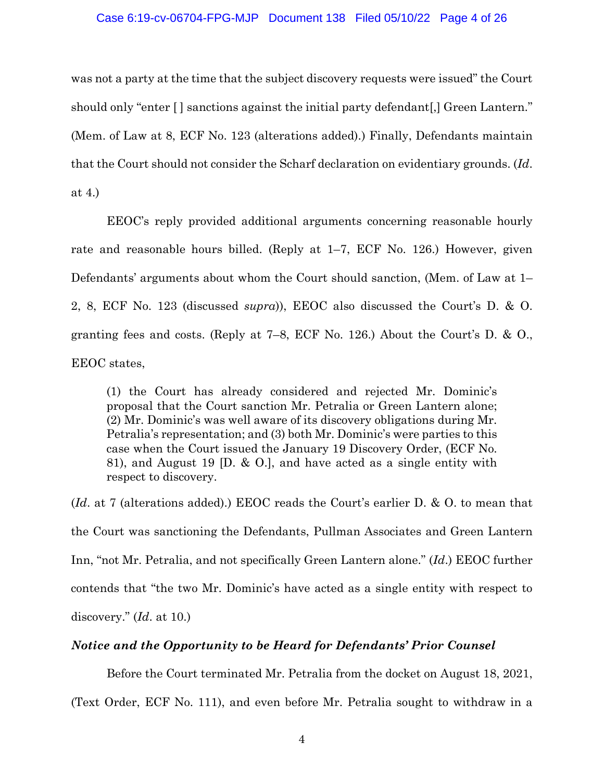#### Case 6:19-cv-06704-FPG-MJP Document 138 Filed 05/10/22 Page 4 of 26

was not a party at the time that the subject discovery requests were issued" the Court should only "enter [] sanctions against the initial party defendant [,] Green Lantern." (Mem. of Law at 8, ECF No. 123 (alterations added).) Finally, Defendants maintain that the Court should not consider the Scharf declaration on evidentiary grounds. (*Id*. at 4.)

EEOC's reply provided additional arguments concerning reasonable hourly rate and reasonable hours billed. (Reply at 1–7, ECF No. 126.) However, given Defendants' arguments about whom the Court should sanction, (Mem. of Law at 1– 2, 8, ECF No. 123 (discussed *supra*)), EEOC also discussed the Court's D. & O. granting fees and costs. (Reply at 7–8, ECF No. 126.) About the Court's D. & O., EEOC states,

(1) the Court has already considered and rejected Mr. Dominic's proposal that the Court sanction Mr. Petralia or Green Lantern alone; (2) Mr. Dominic's was well aware of its discovery obligations during Mr. Petralia's representation; and (3) both Mr. Dominic's were parties to this case when the Court issued the January 19 Discovery Order, (ECF No. 81), and August 19 [D. & O.], and have acted as a single entity with respect to discovery.

(*Id*. at 7 (alterations added).) EEOC reads the Court's earlier D. & O. to mean that the Court was sanctioning the Defendants, Pullman Associates and Green Lantern Inn, "not Mr. Petralia, and not specifically Green Lantern alone." (*Id*.) EEOC further contends that "the two Mr. Dominic's have acted as a single entity with respect to discovery." (*Id*. at 10.)

## *Notice and the Opportunity to be Heard for Defendants' Prior Counsel*

Before the Court terminated Mr. Petralia from the docket on August 18, 2021,

(Text Order, ECF No. 111), and even before Mr. Petralia sought to withdraw in a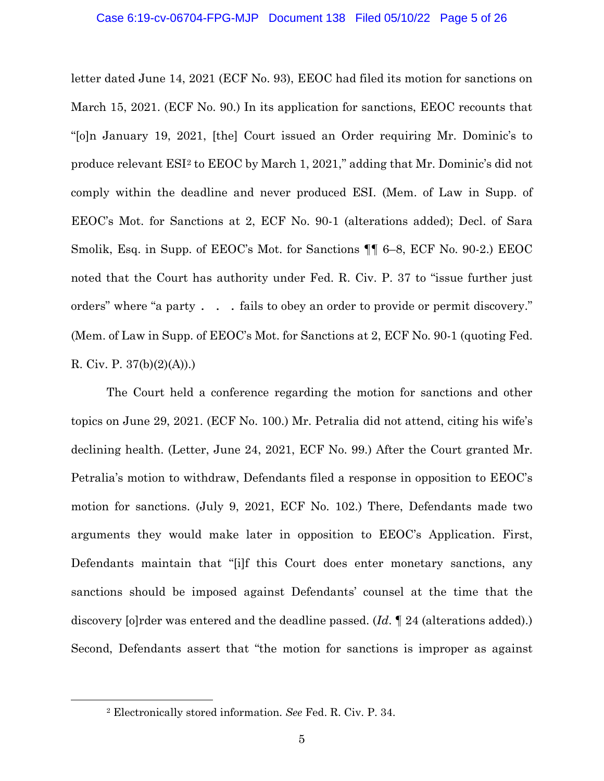letter dated June 14, 2021 (ECF No. 93), EEOC had filed its motion for sanctions on March 15, 2021. (ECF No. 90.) In its application for sanctions, EEOC recounts that "[o]n January 19, 2021, [the] Court issued an Order requiring Mr. Dominic's to produce relevant ESI<sup>2</sup> to EEOC by March 1, 2021," adding that Mr. Dominic's did not comply within the deadline and never produced ESI. (Mem. of Law in Supp. of EEOC's Mot. for Sanctions at 2, ECF No. 90-1 (alterations added); Decl. of Sara Smolik, Esq. in Supp. of EEOC's Mot. for Sanctions ¶¶ 6–8, ECF No. 90-2.) EEOC noted that the Court has authority under Fed. R. Civ. P. 37 to "issue further just orders" where "a party . . . fails to obey an order to provide or permit discovery." (Mem. of Law in Supp. of EEOC's Mot. for Sanctions at 2, ECF No. 90-1 (quoting Fed. R. Civ. P.  $37(b)(2)(A))$ .

The Court held a conference regarding the motion for sanctions and other topics on June 29, 2021. (ECF No. 100.) Mr. Petralia did not attend, citing his wife's declining health. (Letter, June 24, 2021, ECF No. 99.) After the Court granted Mr. Petralia's motion to withdraw, Defendants filed a response in opposition to EEOC's motion for sanctions. (July 9, 2021, ECF No. 102.) There, Defendants made two arguments they would make later in opposition to EEOC's Application. First, Defendants maintain that "[i]f this Court does enter monetary sanctions, any sanctions should be imposed against Defendants' counsel at the time that the discovery [o]rder was entered and the deadline passed. (*Id*. ¶ 24 (alterations added).) Second, Defendants assert that "the motion for sanctions is improper as against

<sup>2</sup> Electronically stored information. *See* Fed. R. Civ. P. 34.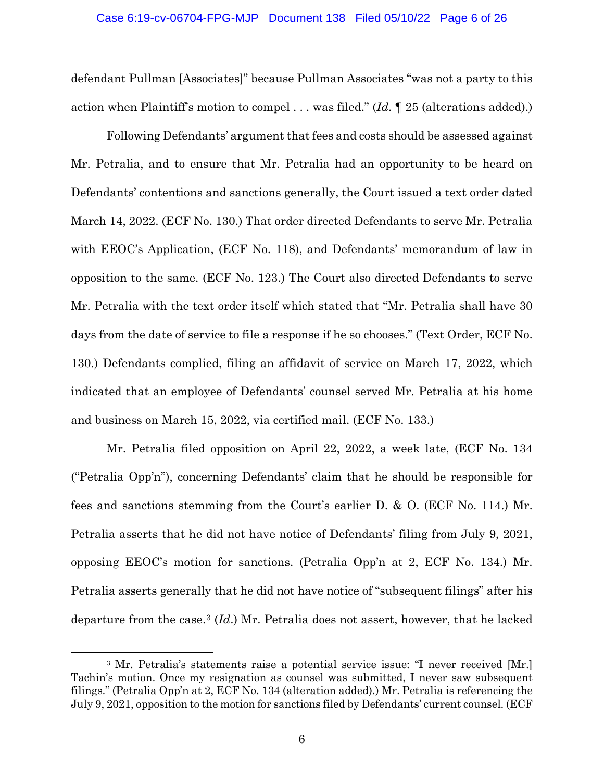defendant Pullman [Associates]" because Pullman Associates "was not a party to this action when Plaintiff's motion to compel . . . was filed." (*Id*. ¶ 25 (alterations added).)

Following Defendants' argument that fees and costs should be assessed against Mr. Petralia, and to ensure that Mr. Petralia had an opportunity to be heard on Defendants' contentions and sanctions generally, the Court issued a text order dated March 14, 2022. (ECF No. 130.) That order directed Defendants to serve Mr. Petralia with EEOC's Application, (ECF No. 118), and Defendants' memorandum of law in opposition to the same. (ECF No. 123.) The Court also directed Defendants to serve Mr. Petralia with the text order itself which stated that "Mr. Petralia shall have 30 days from the date of service to file a response if he so chooses." (Text Order, ECF No. 130.) Defendants complied, filing an affidavit of service on March 17, 2022, which indicated that an employee of Defendants' counsel served Mr. Petralia at his home and business on March 15, 2022, via certified mail. (ECF No. 133.)

Mr. Petralia filed opposition on April 22, 2022, a week late, (ECF No. 134 ("Petralia Opp'n"), concerning Defendants' claim that he should be responsible for fees and sanctions stemming from the Court's earlier D. & O. (ECF No. 114.) Mr. Petralia asserts that he did not have notice of Defendants' filing from July 9, 2021, opposing EEOC's motion for sanctions. (Petralia Opp'n at 2, ECF No. 134.) Mr. Petralia asserts generally that he did not have notice of "subsequent filings" after his departure from the case.3 (*Id*.) Mr. Petralia does not assert, however, that he lacked

<sup>3</sup> Mr. Petralia's statements raise a potential service issue: "I never received [Mr.] Tachin's motion. Once my resignation as counsel was submitted, I never saw subsequent filings." (Petralia Opp'n at 2, ECF No. 134 (alteration added).) Mr. Petralia is referencing the July 9, 2021, opposition to the motion for sanctions filed by Defendants' current counsel. (ECF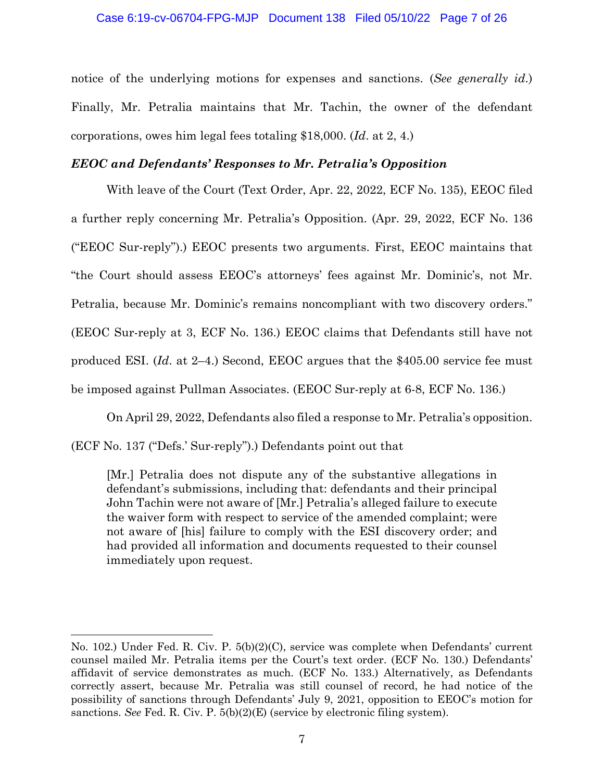notice of the underlying motions for expenses and sanctions. (*See generally id*.) Finally, Mr. Petralia maintains that Mr. Tachin, the owner of the defendant corporations, owes him legal fees totaling \$18,000. (*Id*. at 2, 4.)

## *EEOC and Defendants' Responses to Mr. Petralia's Opposition*

With leave of the Court (Text Order, Apr. 22, 2022, ECF No. 135), EEOC filed a further reply concerning Mr. Petralia's Opposition. (Apr. 29, 2022, ECF No. 136 ("EEOC Sur-reply").) EEOC presents two arguments. First, EEOC maintains that "the Court should assess EEOC's attorneys' fees against Mr. Dominic's, not Mr. Petralia, because Mr. Dominic's remains noncompliant with two discovery orders." (EEOC Sur-reply at 3, ECF No. 136.) EEOC claims that Defendants still have not produced ESI. (*Id*. at 2–4.) Second, EEOC argues that the \$405.00 service fee must be imposed against Pullman Associates. (EEOC Sur-reply at 6-8, ECF No. 136.)

On April 29, 2022, Defendants also filed a response to Mr. Petralia's opposition.

(ECF No. 137 ("Defs.' Sur-reply").) Defendants point out that

[Mr.] Petralia does not dispute any of the substantive allegations in defendant's submissions, including that: defendants and their principal John Tachin were not aware of [Mr.] Petralia's alleged failure to execute the waiver form with respect to service of the amended complaint; were not aware of [his] failure to comply with the ESI discovery order; and had provided all information and documents requested to their counsel immediately upon request.

No. 102.) Under Fed. R. Civ. P. 5(b)(2)(C), service was complete when Defendants' current counsel mailed Mr. Petralia items per the Court's text order. (ECF No. 130.) Defendants' affidavit of service demonstrates as much. (ECF No. 133.) Alternatively, as Defendants correctly assert, because Mr. Petralia was still counsel of record, he had notice of the possibility of sanctions through Defendants' July 9, 2021, opposition to EEOC's motion for sanctions. *See* Fed. R. Civ. P. 5(b)(2)(E) (service by electronic filing system).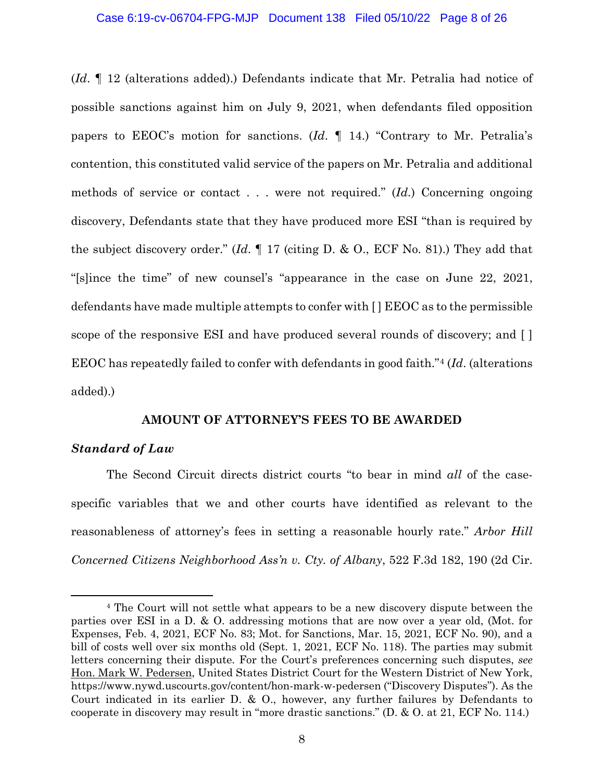(*Id*. ¶ 12 (alterations added).) Defendants indicate that Mr. Petralia had notice of possible sanctions against him on July 9, 2021, when defendants filed opposition papers to EEOC's motion for sanctions. (*Id*. ¶ 14.) "Contrary to Mr. Petralia's contention, this constituted valid service of the papers on Mr. Petralia and additional methods of service or contact . . . were not required." (*Id*.) Concerning ongoing discovery, Defendants state that they have produced more ESI "than is required by the subject discovery order." (*Id*. ¶ 17 (citing D. & O., ECF No. 81).) They add that "[s]ince the time" of new counsel's "appearance in the case on June 22, 2021, defendants have made multiple attempts to confer with [ ] EEOC as to the permissible scope of the responsive ESI and have produced several rounds of discovery; and [] EEOC has repeatedly failed to confer with defendants in good faith."4 (*Id*. (alterations added).)

### **AMOUNT OF ATTORNEY'S FEES TO BE AWARDED**

## *Standard of Law*

The Second Circuit directs district courts "to bear in mind *all* of the casespecific variables that we and other courts have identified as relevant to the reasonableness of attorney's fees in setting a reasonable hourly rate." *Arbor Hill Concerned Citizens Neighborhood Ass'n v. Cty. of Albany*, 522 F.3d 182, 190 (2d Cir.

<sup>4</sup> The Court will not settle what appears to be a new discovery dispute between the parties over ESI in a D. & O. addressing motions that are now over a year old, (Mot. for Expenses, Feb. 4, 2021, ECF No. 83; Mot. for Sanctions, Mar. 15, 2021, ECF No. 90), and a bill of costs well over six months old (Sept. 1, 2021, ECF No. 118). The parties may submit letters concerning their dispute. For the Court's preferences concerning such disputes, *see*  Hon. Mark W. Pedersen, United States District Court for the Western District of New York, https://www.nywd.uscourts.gov/content/hon-mark-w-pedersen ("Discovery Disputes"). As the Court indicated in its earlier D. & O., however, any further failures by Defendants to cooperate in discovery may result in "more drastic sanctions." (D. & O. at 21, ECF No. 114.)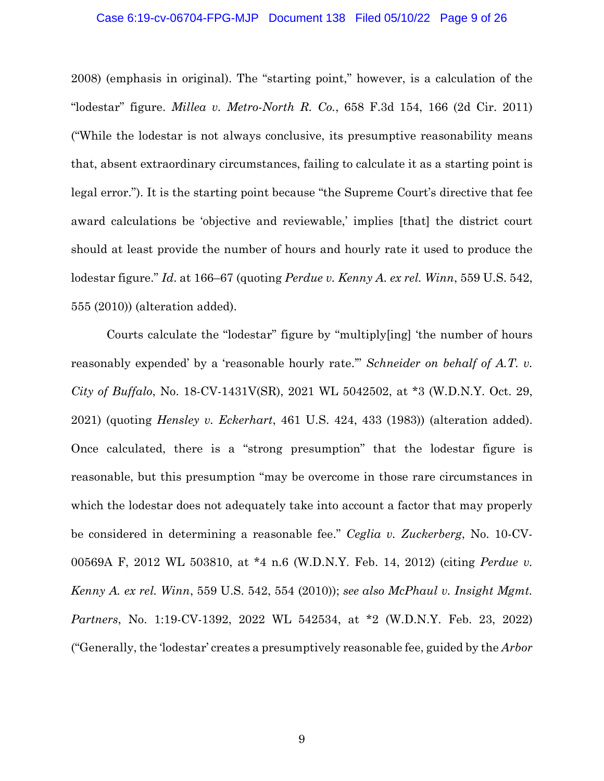### Case 6:19-cv-06704-FPG-MJP Document 138 Filed 05/10/22 Page 9 of 26

2008) (emphasis in original). The "starting point," however, is a calculation of the "lodestar" figure. *Millea v. Metro-North R. Co.*, 658 F.3d 154, 166 (2d Cir. 2011) ("While the lodestar is not always conclusive, its presumptive reasonability means that, absent extraordinary circumstances, failing to calculate it as a starting point is legal error."). It is the starting point because "the Supreme Court's directive that fee award calculations be 'objective and reviewable,' implies [that] the district court should at least provide the number of hours and hourly rate it used to produce the lodestar figure." *Id*. at 166–67 (quoting *Perdue v. Kenny A. ex rel. Winn*, 559 U.S. 542, 555 (2010)) (alteration added).

Courts calculate the "lodestar" figure by "multiply[ing] 'the number of hours reasonably expended' by a 'reasonable hourly rate.'" *Schneider on behalf of A.T. v. City of Buffalo*, No. 18-CV-1431V(SR), 2021 WL 5042502, at \*3 (W.D.N.Y. Oct. 29, 2021) (quoting *Hensley v. Eckerhart*, 461 U.S. 424, 433 (1983)) (alteration added). Once calculated, there is a "strong presumption" that the lodestar figure is reasonable, but this presumption "may be overcome in those rare circumstances in which the lodestar does not adequately take into account a factor that may properly be considered in determining a reasonable fee." *Ceglia v. Zuckerberg*, No. 10-CV-00569A F, 2012 WL 503810, at \*4 n.6 (W.D.N.Y. Feb. 14, 2012) (citing *Perdue v. Kenny A. ex rel. Winn*, 559 U.S. 542, 554 (2010)); *see also McPhaul v. Insight Mgmt. Partners*, No. 1:19-CV-1392, 2022 WL 542534, at \*2 (W.D.N.Y. Feb. 23, 2022) ("Generally, the 'lodestar' creates a presumptively reasonable fee, guided by the *Arbor*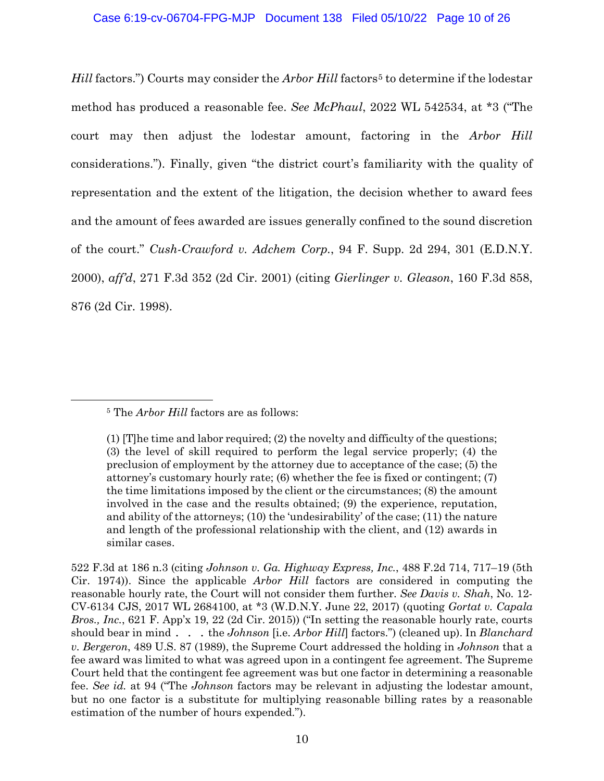*Hill* factors.") Courts may consider the *Arbor Hill* factors<sup>5</sup> to determine if the lodestar method has produced a reasonable fee. *See McPhaul*, 2022 WL 542534, at \*3 ("The court may then adjust the lodestar amount, factoring in the *Arbor Hill*  considerations."). Finally, given "the district court's familiarity with the quality of representation and the extent of the litigation, the decision whether to award fees and the amount of fees awarded are issues generally confined to the sound discretion of the court." *Cush-Crawford v. Adchem Corp.*, 94 F. Supp. 2d 294, 301 (E.D.N.Y. 2000), *aff'd*, 271 F.3d 352 (2d Cir. 2001) (citing *Gierlinger v. Gleason*, 160 F.3d 858, 876 (2d Cir. 1998).

<sup>5</sup> The *Arbor Hill* factors are as follows:

<sup>(1) [</sup>T]he time and labor required; (2) the novelty and difficulty of the questions; (3) the level of skill required to perform the legal service properly; (4) the preclusion of employment by the attorney due to acceptance of the case; (5) the attorney's customary hourly rate; (6) whether the fee is fixed or contingent; (7) the time limitations imposed by the client or the circumstances; (8) the amount involved in the case and the results obtained; (9) the experience, reputation, and ability of the attorneys; (10) the 'undesirability' of the case; (11) the nature and length of the professional relationship with the client, and (12) awards in similar cases.

<sup>522</sup> F.3d at 186 n.3 (citing *Johnson v. Ga. Highway Express, Inc.*, 488 F.2d 714, 717–19 (5th Cir. 1974)). Since the applicable *Arbor Hill* factors are considered in computing the reasonable hourly rate, the Court will not consider them further. *See Davis v. Shah*, No. 12- CV-6134 CJS, 2017 WL 2684100, at \*3 (W.D.N.Y. June 22, 2017) (quoting *Gortat v. Capala Bros., Inc.*, 621 F. App'x 19, 22 (2d Cir. 2015)) ("In setting the reasonable hourly rate, courts should bear in mind . . . the *Johnson* [i.e. *Arbor Hill*] factors.") (cleaned up). In *Blanchard v. Bergeron*, 489 U.S. 87 (1989), the Supreme Court addressed the holding in *Johnson* that a fee award was limited to what was agreed upon in a contingent fee agreement. The Supreme Court held that the contingent fee agreement was but one factor in determining a reasonable fee. *See id.* at 94 ("The *Johnson* factors may be relevant in adjusting the lodestar amount, but no one factor is a substitute for multiplying reasonable billing rates by a reasonable estimation of the number of hours expended.").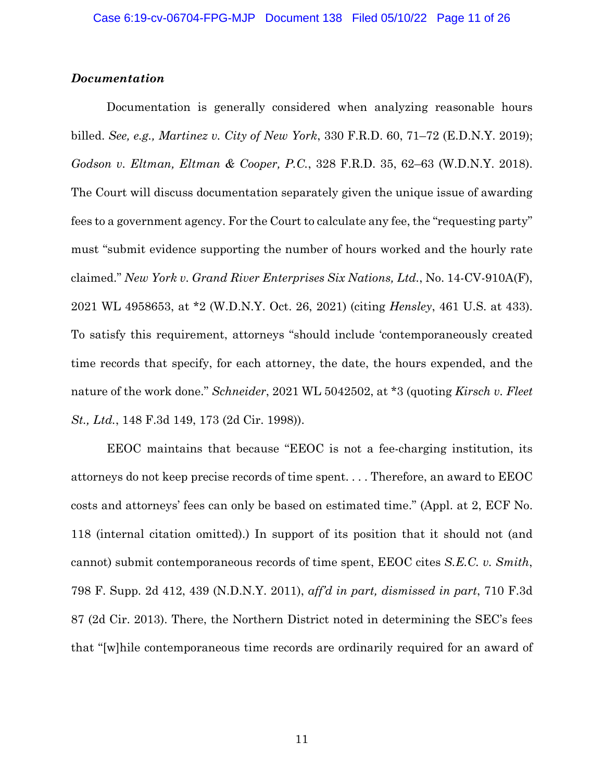## *Documentation*

Documentation is generally considered when analyzing reasonable hours billed. *See, e.g., Martinez v. City of New York*, 330 F.R.D. 60, 71–72 (E.D.N.Y. 2019); *Godson v. Eltman, Eltman & Cooper, P.C.*, 328 F.R.D. 35, 62–63 (W.D.N.Y. 2018). The Court will discuss documentation separately given the unique issue of awarding fees to a government agency. For the Court to calculate any fee, the "requesting party" must "submit evidence supporting the number of hours worked and the hourly rate claimed." *New York v. Grand River Enterprises Six Nations, Ltd.*, No. 14-CV-910A(F), 2021 WL 4958653, at \*2 (W.D.N.Y. Oct. 26, 2021) (citing *Hensley*, 461 U.S. at 433). To satisfy this requirement, attorneys "should include 'contemporaneously created time records that specify, for each attorney, the date, the hours expended, and the nature of the work done." *Schneider*, 2021 WL 5042502, at \*3 (quoting *Kirsch v. Fleet St., Ltd.*, 148 F.3d 149, 173 (2d Cir. 1998)).

EEOC maintains that because "EEOC is not a fee-charging institution, its attorneys do not keep precise records of time spent. . . . Therefore, an award to EEOC costs and attorneys' fees can only be based on estimated time." (Appl. at 2, ECF No. 118 (internal citation omitted).) In support of its position that it should not (and cannot) submit contemporaneous records of time spent, EEOC cites *S.E.C. v. Smith*, 798 F. Supp. 2d 412, 439 (N.D.N.Y. 2011), *aff'd in part, dismissed in part*, 710 F.3d 87 (2d Cir. 2013). There, the Northern District noted in determining the SEC's fees that "[w]hile contemporaneous time records are ordinarily required for an award of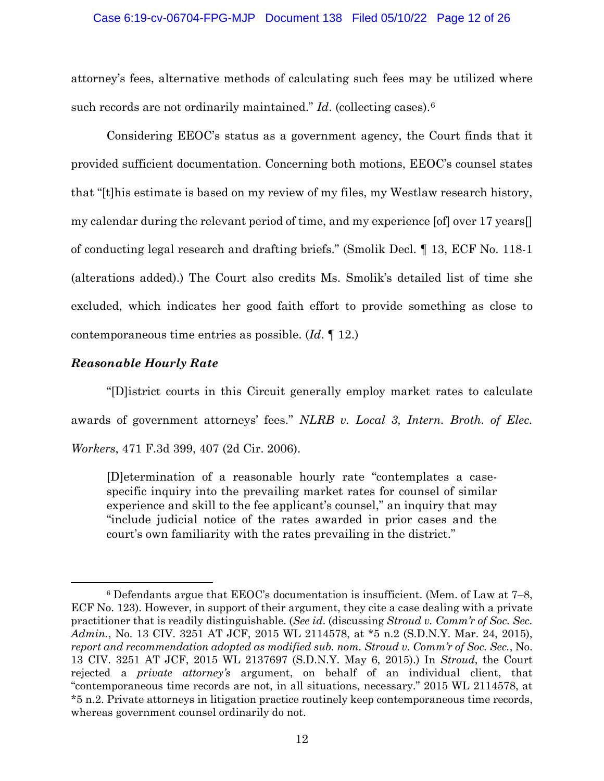### Case 6:19-cv-06704-FPG-MJP Document 138 Filed 05/10/22 Page 12 of 26

attorney's fees, alternative methods of calculating such fees may be utilized where such records are not ordinarily maintained." *Id*. (collecting cases).<sup>6</sup>

Considering EEOC's status as a government agency, the Court finds that it provided sufficient documentation. Concerning both motions, EEOC's counsel states that "[t]his estimate is based on my review of my files, my Westlaw research history, my calendar during the relevant period of time, and my experience [of] over 17 years[] of conducting legal research and drafting briefs." (Smolik Decl. ¶ 13, ECF No. 118-1 (alterations added).) The Court also credits Ms. Smolik's detailed list of time she excluded, which indicates her good faith effort to provide something as close to contemporaneous time entries as possible. (*Id*. ¶ 12.)

## *Reasonable Hourly Rate*

"[D]istrict courts in this Circuit generally employ market rates to calculate awards of government attorneys' fees." *NLRB v. Local 3, Intern. Broth. of Elec. Workers*, 471 F.3d 399, 407 (2d Cir. 2006).

[D]etermination of a reasonable hourly rate "contemplates a casespecific inquiry into the prevailing market rates for counsel of similar experience and skill to the fee applicant's counsel," an inquiry that may "include judicial notice of the rates awarded in prior cases and the court's own familiarity with the rates prevailing in the district."

 $6$  Defendants argue that EEOC's documentation is insufficient. (Mem. of Law at  $7-8$ , ECF No. 123). However, in support of their argument, they cite a case dealing with a private practitioner that is readily distinguishable. (*See id*. (discussing *Stroud v. Comm'r of Soc. Sec. Admin.*, No. 13 CIV. 3251 AT JCF, 2015 WL 2114578, at \*5 n.2 (S.D.N.Y. Mar. 24, 2015), *report and recommendation adopted as modified sub. nom. Stroud v. Comm'r of Soc. Sec.*, No. 13 CIV. 3251 AT JCF, 2015 WL 2137697 (S.D.N.Y. May 6, 2015).) In *Stroud*, the Court rejected a *private attorney's* argument, on behalf of an individual client, that "contemporaneous time records are not, in all situations, necessary." 2015 WL 2114578, at \*5 n.2. Private attorneys in litigation practice routinely keep contemporaneous time records, whereas government counsel ordinarily do not.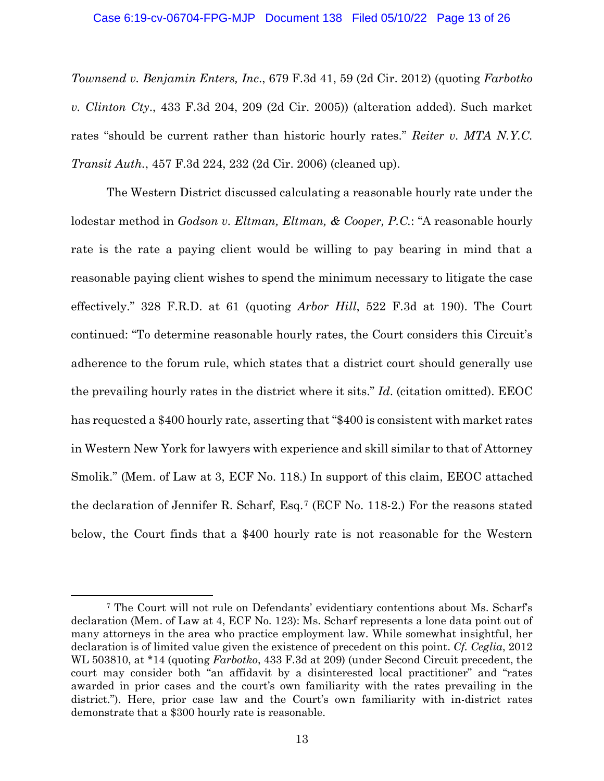### Case 6:19-cv-06704-FPG-MJP Document 138 Filed 05/10/22 Page 13 of 26

*Townsend v. Benjamin Enters, Inc*., 679 F.3d 41, 59 (2d Cir. 2012) (quoting *Farbotko v. Clinton Cty*., 433 F.3d 204, 209 (2d Cir. 2005)) (alteration added). Such market rates "should be current rather than historic hourly rates." *Reiter v. MTA N.Y.C. Transit Auth.*, 457 F.3d 224, 232 (2d Cir. 2006) (cleaned up).

The Western District discussed calculating a reasonable hourly rate under the lodestar method in *Godson v. Eltman, Eltman, & Cooper, P.C.*: "A reasonable hourly rate is the rate a paying client would be willing to pay bearing in mind that a reasonable paying client wishes to spend the minimum necessary to litigate the case effectively." 328 F.R.D. at 61 (quoting *Arbor Hill*, 522 F.3d at 190). The Court continued: "To determine reasonable hourly rates, the Court considers this Circuit's adherence to the forum rule, which states that a district court should generally use the prevailing hourly rates in the district where it sits." *Id*. (citation omitted). EEOC has requested a \$400 hourly rate, asserting that "\$400 is consistent with market rates in Western New York for lawyers with experience and skill similar to that of Attorney Smolik." (Mem. of Law at 3, ECF No. 118.) In support of this claim, EEOC attached the declaration of Jennifer R. Scharf, Esq. <sup>7</sup> (ECF No. 118-2.) For the reasons stated below, the Court finds that a \$400 hourly rate is not reasonable for the Western

<sup>7</sup> The Court will not rule on Defendants' evidentiary contentions about Ms. Scharf's declaration (Mem. of Law at 4, ECF No. 123): Ms. Scharf represents a lone data point out of many attorneys in the area who practice employment law. While somewhat insightful, her declaration is of limited value given the existence of precedent on this point. *Cf. Ceglia*, 2012 WL 503810, at \*14 (quoting *Farbotko*, 433 F.3d at 209) (under Second Circuit precedent, the court may consider both "an affidavit by a disinterested local practitioner" and "rates awarded in prior cases and the court's own familiarity with the rates prevailing in the district."). Here, prior case law and the Court's own familiarity with in-district rates demonstrate that a \$300 hourly rate is reasonable.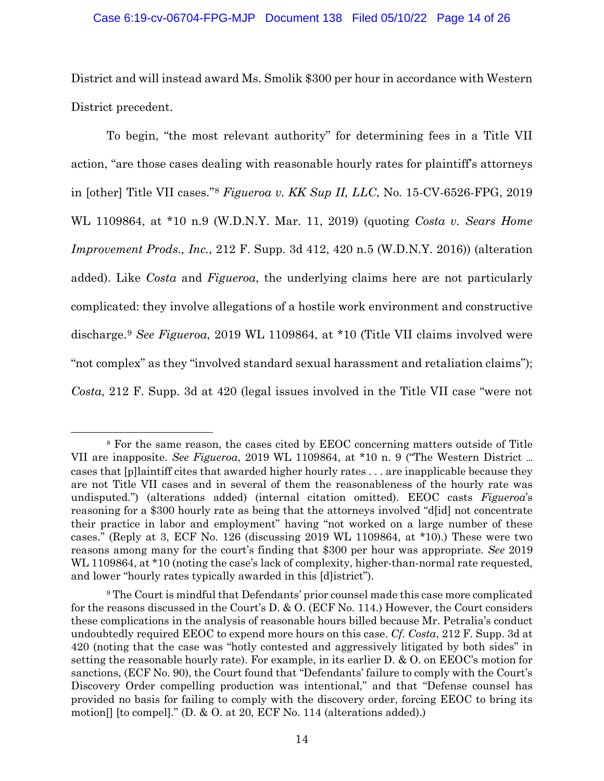### Case 6:19-cv-06704-FPG-MJP Document 138 Filed 05/10/22 Page 14 of 26

District and will instead award Ms. Smolik \$300 per hour in accordance with Western District precedent.

To begin, "the most relevant authority" for determining fees in a Title VII action, "are those cases dealing with reasonable hourly rates for plaintiff's attorneys in [other] Title VII cases."<sup>8</sup> *Figueroa v. KK Sup II, LLC*, No. 15-CV-6526-FPG, 2019 WL 1109864, at \*10 n.9 (W.D.N.Y. Mar. 11, 2019) (quoting *Costa v. Sears Home Improvement Prods., Inc.*, 212 F. Supp. 3d 412, 420 n.5 (W.D.N.Y. 2016)) (alteration added). Like *Costa* and *Figueroa*, the underlying claims here are not particularly complicated: they involve allegations of a hostile work environment and constructive discharge. <sup>9</sup> *See Figueroa*, 2019 WL 1109864, at \*10 (Title VII claims involved were "not complex" as they "involved standard sexual harassment and retaliation claims"); *Costa*, 212 F. Supp. 3d at 420 (legal issues involved in the Title VII case "were not

<sup>8</sup> For the same reason, the cases cited by EEOC concerning matters outside of Title VII are inapposite. *See Figueroa*, 2019 WL 1109864, at \*10 n. 9 ("The Western District … cases that [p]laintiff cites that awarded higher hourly rates . . . are inapplicable because they are not Title VII cases and in several of them the reasonableness of the hourly rate was undisputed.") (alterations added) (internal citation omitted). EEOC casts *Figueroa*'s reasoning for a \$300 hourly rate as being that the attorneys involved "d[id] not concentrate their practice in labor and employment" having "not worked on a large number of these cases." (Reply at 3, ECF No. 126 (discussing 2019 WL 1109864, at \*10).) These were two reasons among many for the court's finding that \$300 per hour was appropriate. *See* 2019 WL 1109864, at \*10 (noting the case's lack of complexity, higher-than-normal rate requested, and lower "hourly rates typically awarded in this [d]istrict").

<sup>9</sup> The Court is mindful that Defendants' prior counsel made this case more complicated for the reasons discussed in the Court's D. & O. (ECF No. 114.) However, the Court considers these complications in the analysis of reasonable hours billed because Mr. Petralia's conduct undoubtedly required EEOC to expend more hours on this case. *Cf. Costa*, 212 F. Supp. 3d at 420 (noting that the case was "hotly contested and aggressively litigated by both sides" in setting the reasonable hourly rate). For example, in its earlier D. & O. on EEOC's motion for sanctions, (ECF No. 90), the Court found that "Defendants' failure to comply with the Court's Discovery Order compelling production was intentional," and that "Defense counsel has provided no basis for failing to comply with the discovery order, forcing EEOC to bring its motion[] [to compel]." (D. & O. at 20, ECF No. 114 (alterations added).)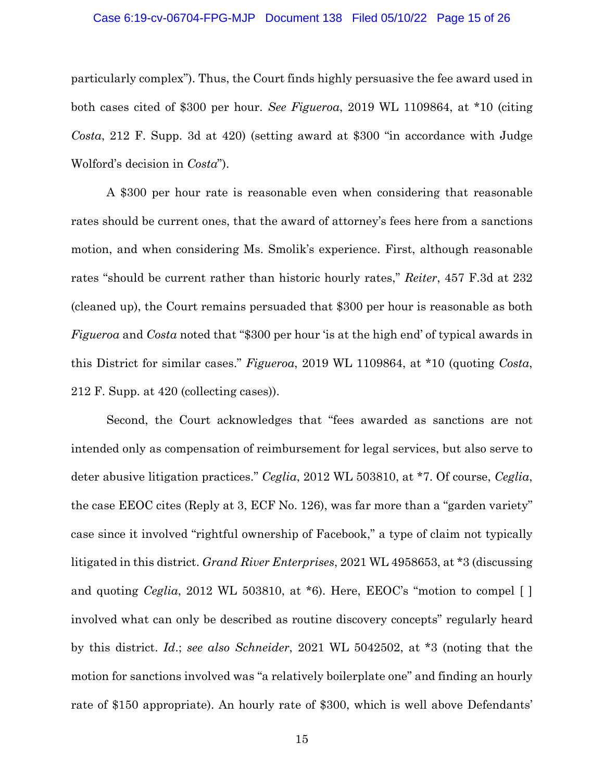#### Case 6:19-cv-06704-FPG-MJP Document 138 Filed 05/10/22 Page 15 of 26

particularly complex"). Thus, the Court finds highly persuasive the fee award used in both cases cited of \$300 per hour. *See Figueroa*, 2019 WL 1109864, at \*10 (citing *Costa*, 212 F. Supp. 3d at 420) (setting award at \$300 "in accordance with Judge Wolford's decision in *Costa*").

A \$300 per hour rate is reasonable even when considering that reasonable rates should be current ones, that the award of attorney's fees here from a sanctions motion, and when considering Ms. Smolik's experience. First, although reasonable rates "should be current rather than historic hourly rates," *Reiter*, 457 F.3d at 232 (cleaned up), the Court remains persuaded that \$300 per hour is reasonable as both *Figueroa* and *Costa* noted that "\$300 per hour 'is at the high end' of typical awards in this District for similar cases." *Figueroa*, 2019 WL 1109864, at \*10 (quoting *Costa*, 212 F. Supp. at 420 (collecting cases)).

Second, the Court acknowledges that "fees awarded as sanctions are not intended only as compensation of reimbursement for legal services, but also serve to deter abusive litigation practices." *Ceglia*, 2012 WL 503810, at \*7. Of course, *Ceglia*, the case EEOC cites (Reply at 3, ECF No. 126), was far more than a "garden variety" case since it involved "rightful ownership of Facebook," a type of claim not typically litigated in this district. *Grand River Enterprises*, 2021 WL 4958653, at \*3 (discussing and quoting *Ceglia*, 2012 WL 503810, at \*6). Here, EEOC's "motion to compel [] involved what can only be described as routine discovery concepts" regularly heard by this district. *Id*.; *see also Schneider*, 2021 WL 5042502, at \*3 (noting that the motion for sanctions involved was "a relatively boilerplate one" and finding an hourly rate of \$150 appropriate). An hourly rate of \$300, which is well above Defendants'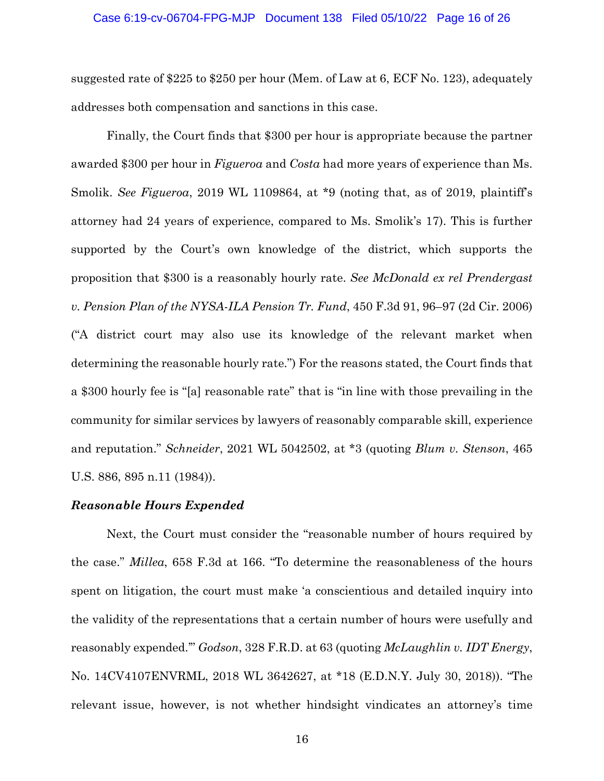### Case 6:19-cv-06704-FPG-MJP Document 138 Filed 05/10/22 Page 16 of 26

suggested rate of \$225 to \$250 per hour (Mem. of Law at 6, ECF No. 123), adequately addresses both compensation and sanctions in this case.

Finally, the Court finds that \$300 per hour is appropriate because the partner awarded \$300 per hour in *Figueroa* and *Costa* had more years of experience than Ms. Smolik. *See Figueroa*, 2019 WL 1109864, at \*9 (noting that, as of 2019, plaintiff's attorney had 24 years of experience, compared to Ms. Smolik's 17). This is further supported by the Court's own knowledge of the district, which supports the proposition that \$300 is a reasonably hourly rate. *See McDonald ex rel Prendergast v. Pension Plan of the NYSA-ILA Pension Tr. Fund*, 450 F.3d 91, 96–97 (2d Cir. 2006) ("A district court may also use its knowledge of the relevant market when determining the reasonable hourly rate.") For the reasons stated, the Court finds that a \$300 hourly fee is "[a] reasonable rate" that is "in line with those prevailing in the community for similar services by lawyers of reasonably comparable skill, experience and reputation." *Schneider*, 2021 WL 5042502, at \*3 (quoting *Blum v. Stenson*, 465 U.S. 886, 895 n.11 (1984)).

### *Reasonable Hours Expended*

Next, the Court must consider the "reasonable number of hours required by the case." *Millea*, 658 F.3d at 166. "To determine the reasonableness of the hours spent on litigation, the court must make 'a conscientious and detailed inquiry into the validity of the representations that a certain number of hours were usefully and reasonably expended.'" *Godson*, 328 F.R.D. at 63 (quoting *McLaughlin v. IDT Energy*, No. 14CV4107ENVRML, 2018 WL 3642627, at \*18 (E.D.N.Y. July 30, 2018)). "The relevant issue, however, is not whether hindsight vindicates an attorney's time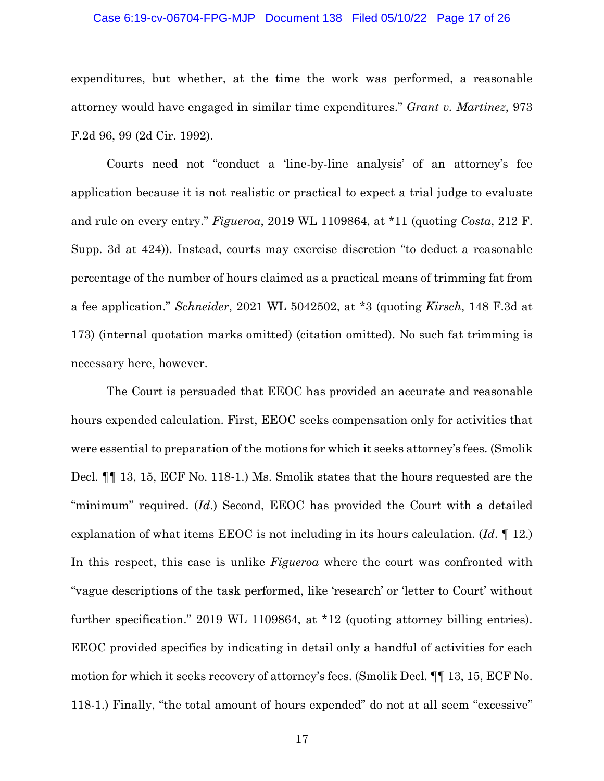### Case 6:19-cv-06704-FPG-MJP Document 138 Filed 05/10/22 Page 17 of 26

expenditures, but whether, at the time the work was performed, a reasonable attorney would have engaged in similar time expenditures." *Grant v. Martinez*, 973 F.2d 96, 99 (2d Cir. 1992).

Courts need not "conduct a 'line-by-line analysis' of an attorney's fee application because it is not realistic or practical to expect a trial judge to evaluate and rule on every entry." *Figueroa*, 2019 WL 1109864, at \*11 (quoting *Costa*, 212 F. Supp. 3d at 424)). Instead, courts may exercise discretion "to deduct a reasonable percentage of the number of hours claimed as a practical means of trimming fat from a fee application." *Schneider*, 2021 WL 5042502, at \*3 (quoting *Kirsch*, 148 F.3d at 173) (internal quotation marks omitted) (citation omitted). No such fat trimming is necessary here, however.

The Court is persuaded that EEOC has provided an accurate and reasonable hours expended calculation. First, EEOC seeks compensation only for activities that were essential to preparation of the motions for which it seeks attorney's fees. (Smolik Decl. ¶¶ 13, 15, ECF No. 118-1.) Ms. Smolik states that the hours requested are the "minimum" required. (*Id*.) Second, EEOC has provided the Court with a detailed explanation of what items EEOC is not including in its hours calculation. (*Id*. ¶ 12.) In this respect, this case is unlike *Figueroa* where the court was confronted with "vague descriptions of the task performed, like 'research' or 'letter to Court' without further specification." 2019 WL 1109864, at \*12 (quoting attorney billing entries). EEOC provided specifics by indicating in detail only a handful of activities for each motion for which it seeks recovery of attorney's fees. (Smolik Decl. ¶¶ 13, 15, ECF No. 118-1.) Finally, "the total amount of hours expended" do not at all seem "excessive"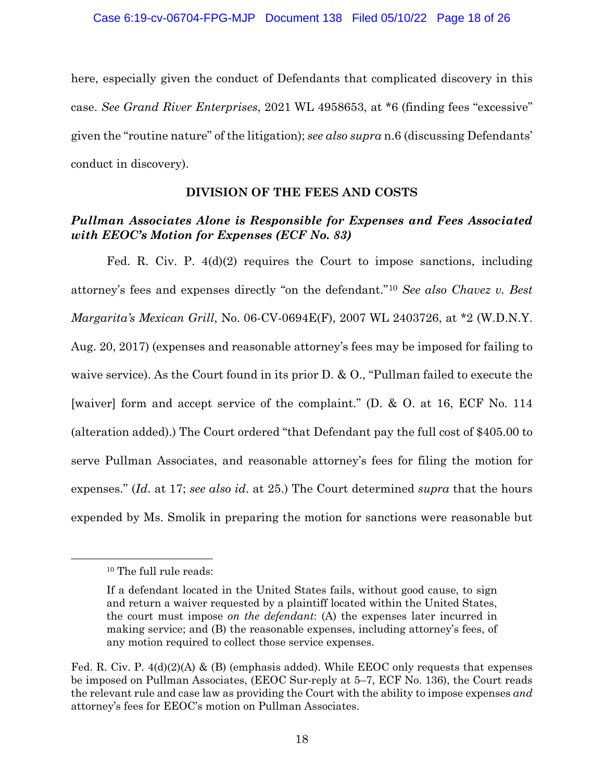here, especially given the conduct of Defendants that complicated discovery in this case. *See Grand River Enterprises*, 2021 WL 4958653, at \*6 (finding fees "excessive" given the "routine nature" of the litigation); *see also supra* n.6 (discussing Defendants' conduct in discovery).

## **DIVISION OF THE FEES AND COSTS**

# *Pullman Associates Alone is Responsible for Expenses and Fees Associated with EEOC's Motion for Expenses (ECF No. 83)*

Fed. R. Civ. P. 4(d)(2) requires the Court to impose sanctions, including attorney's fees and expenses directly "on the defendant."<sup>10</sup> *See also Chavez v. Best Margarita's Mexican Grill*, No. 06-CV-0694E(F), 2007 WL 2403726, at \*2 (W.D.N.Y. Aug. 20, 2017) (expenses and reasonable attorney's fees may be imposed for failing to waive service). As the Court found in its prior D. & O., "Pullman failed to execute the [waiver] form and accept service of the complaint." (D. & O. at 16, ECF No. 114 (alteration added).) The Court ordered "that Defendant pay the full cost of \$405.00 to serve Pullman Associates, and reasonable attorney's fees for filing the motion for expenses." (*Id*. at 17; *see also id*. at 25.) The Court determined *supra* that the hours expended by Ms. Smolik in preparing the motion for sanctions were reasonable but

<sup>&</sup>lt;sup>10</sup> The full rule reads:

If a defendant located in the United States fails, without good cause, to sign and return a waiver requested by a plaintiff located within the United States, the court must impose *on the defendant*: (A) the expenses later incurred in making service; and (B) the reasonable expenses, including attorney's fees, of any motion required to collect those service expenses.

Fed. R. Civ. P. 4(d)(2)(A) & (B) (emphasis added). While EEOC only requests that expenses be imposed on Pullman Associates, (EEOC Sur-reply at 5–7, ECF No. 136), the Court reads the relevant rule and case law as providing the Court with the ability to impose expenses *and*  attorney's fees for EEOC's motion on Pullman Associates.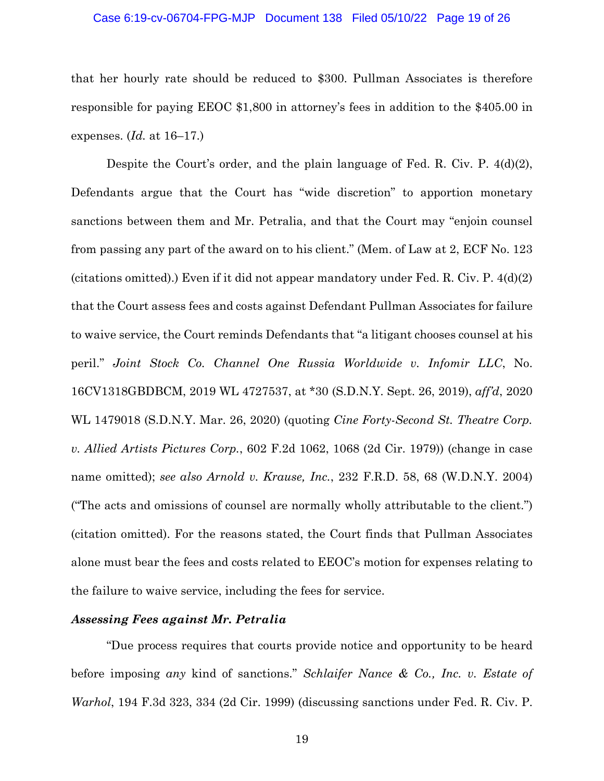### Case 6:19-cv-06704-FPG-MJP Document 138 Filed 05/10/22 Page 19 of 26

that her hourly rate should be reduced to \$300. Pullman Associates is therefore responsible for paying EEOC \$1,800 in attorney's fees in addition to the \$405.00 in expenses. (*Id.* at 16–17.)

Despite the Court's order, and the plain language of Fed. R. Civ. P.  $4(d)(2)$ , Defendants argue that the Court has "wide discretion" to apportion monetary sanctions between them and Mr. Petralia, and that the Court may "enjoin counsel from passing any part of the award on to his client." (Mem. of Law at 2, ECF No. 123 (citations omitted).) Even if it did not appear mandatory under Fed. R. Civ. P. 4(d)(2) that the Court assess fees and costs against Defendant Pullman Associates for failure to waive service, the Court reminds Defendants that "a litigant chooses counsel at his peril." *Joint Stock Co. Channel One Russia Worldwide v. Infomir LLC*, No. 16CV1318GBDBCM, 2019 WL 4727537, at \*30 (S.D.N.Y. Sept. 26, 2019), *aff'd*, 2020 WL 1479018 (S.D.N.Y. Mar. 26, 2020) (quoting *Cine Forty-Second St. Theatre Corp. v. Allied Artists Pictures Corp.*, 602 F.2d 1062, 1068 (2d Cir. 1979)) (change in case name omitted); *see also Arnold v. Krause, Inc.*, 232 F.R.D. 58, 68 (W.D.N.Y. 2004) ("The acts and omissions of counsel are normally wholly attributable to the client.") (citation omitted). For the reasons stated, the Court finds that Pullman Associates alone must bear the fees and costs related to EEOC's motion for expenses relating to the failure to waive service, including the fees for service.

### *Assessing Fees against Mr. Petralia*

"Due process requires that courts provide notice and opportunity to be heard before imposing *any* kind of sanctions." *Schlaifer Nance & Co., Inc. v. Estate of Warhol*, 194 F.3d 323, 334 (2d Cir. 1999) (discussing sanctions under Fed. R. Civ. P.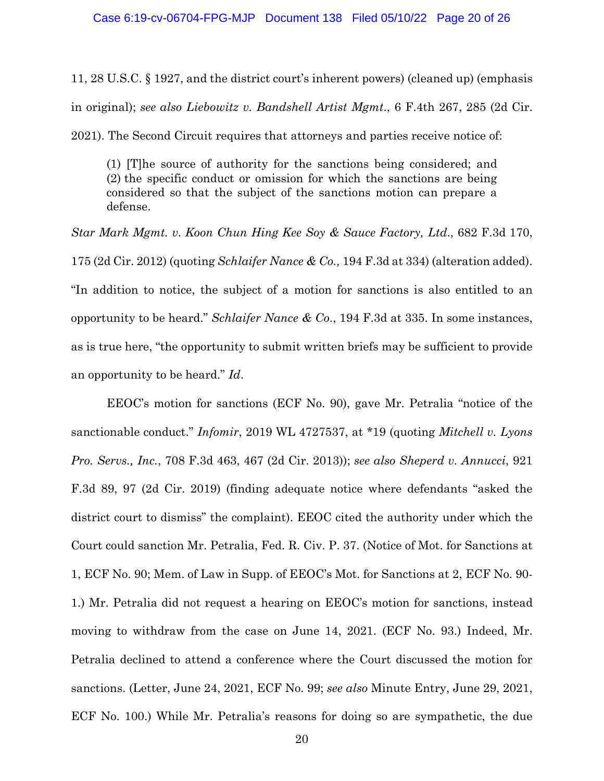11, 28 U.S.C. § 1927, and the district court's inherent powers) (cleaned up) (emphasis in original); *see also Liebowitz v. Bandshell Artist Mgmt*., 6 F.4th 267, 285 (2d Cir.

2021). The Second Circuit requires that attorneys and parties receive notice of:

(1) [T]he source of authority for the sanctions being considered; and (2) the specific conduct or omission for which the sanctions are being considered so that the subject of the sanctions motion can prepare a defense.

*Star Mark Mgmt. v. Koon Chun Hing Kee Soy & Sauce Factory, Ltd*., 682 F.3d 170, 175 (2d Cir. 2012) (quoting *Schlaifer Nance & Co.,* 194 F.3d at 334) (alteration added). "In addition to notice, the subject of a motion for sanctions is also entitled to an opportunity to be heard." *Schlaifer Nance & Co*., 194 F.3d at 335. In some instances, as is true here, "the opportunity to submit written briefs may be sufficient to provide an opportunity to be heard." *Id*.

EEOC's motion for sanctions (ECF No. 90), gave Mr. Petralia "notice of the sanctionable conduct." *Infomir*, 2019 WL 4727537, at \*19 (quoting *Mitchell v. Lyons Pro. Servs., Inc.*, 708 F.3d 463, 467 (2d Cir. 2013)); *see also Sheperd v. Annucci*, 921 F.3d 89, 97 (2d Cir. 2019) (finding adequate notice where defendants "asked the district court to dismiss" the complaint). EEOC cited the authority under which the Court could sanction Mr. Petralia, Fed. R. Civ. P. 37. (Notice of Mot. for Sanctions at 1, ECF No. 90; Mem. of Law in Supp. of EEOC's Mot. for Sanctions at 2, ECF No. 90- 1.) Mr. Petralia did not request a hearing on EEOC's motion for sanctions, instead moving to withdraw from the case on June 14, 2021. (ECF No. 93.) Indeed, Mr. Petralia declined to attend a conference where the Court discussed the motion for sanctions. (Letter, June 24, 2021, ECF No. 99; *see also* Minute Entry, June 29, 2021, ECF No. 100.) While Mr. Petralia's reasons for doing so are sympathetic, the due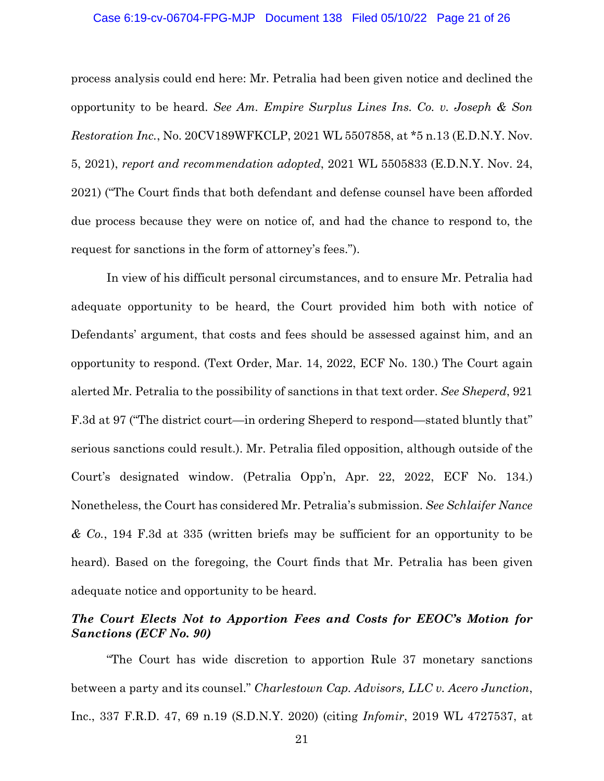#### Case 6:19-cv-06704-FPG-MJP Document 138 Filed 05/10/22 Page 21 of 26

process analysis could end here: Mr. Petralia had been given notice and declined the opportunity to be heard. *See Am. Empire Surplus Lines Ins. Co. v. Joseph & Son Restoration Inc.*, No. 20CV189WFKCLP, 2021 WL 5507858, at \*5 n.13 (E.D.N.Y. Nov. 5, 2021), *report and recommendation adopted*, 2021 WL 5505833 (E.D.N.Y. Nov. 24, 2021) ("The Court finds that both defendant and defense counsel have been afforded due process because they were on notice of, and had the chance to respond to, the request for sanctions in the form of attorney's fees.").

In view of his difficult personal circumstances, and to ensure Mr. Petralia had adequate opportunity to be heard, the Court provided him both with notice of Defendants' argument, that costs and fees should be assessed against him, and an opportunity to respond. (Text Order, Mar. 14, 2022, ECF No. 130.) The Court again alerted Mr. Petralia to the possibility of sanctions in that text order. *See Sheperd*, 921 F.3d at 97 ("The district court—in ordering Sheperd to respond—stated bluntly that" serious sanctions could result.). Mr. Petralia filed opposition, although outside of the Court's designated window. (Petralia Opp'n, Apr. 22, 2022, ECF No. 134.) Nonetheless, the Court has considered Mr. Petralia's submission. *See Schlaifer Nance & Co.*, 194 F.3d at 335 (written briefs may be sufficient for an opportunity to be heard). Based on the foregoing, the Court finds that Mr. Petralia has been given adequate notice and opportunity to be heard.

# *The Court Elects Not to Apportion Fees and Costs for EEOC's Motion for Sanctions (ECF No. 90)*

"The Court has wide discretion to apportion Rule 37 monetary sanctions between a party and its counsel." *Charlestown Cap. Advisors, LLC v. Acero Junction*, Inc., 337 F.R.D. 47, 69 n.19 (S.D.N.Y. 2020) (citing *Infomir*, 2019 WL 4727537, at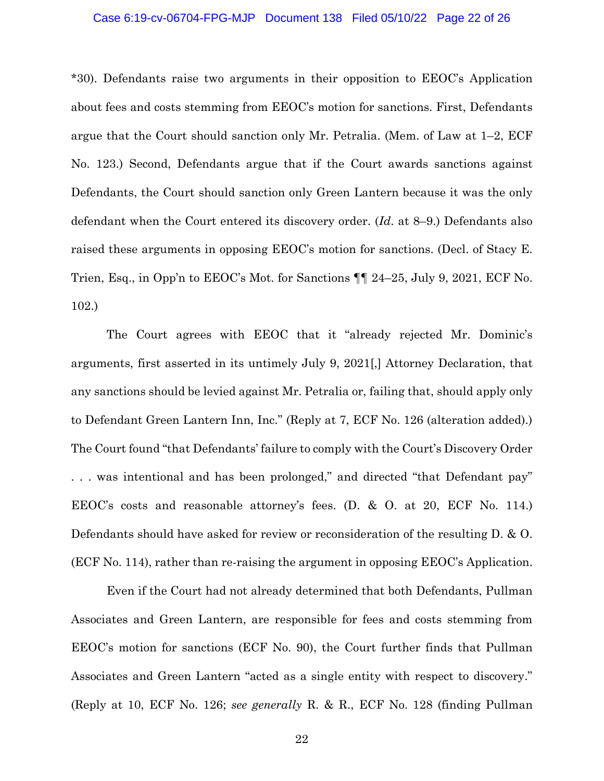### Case 6:19-cv-06704-FPG-MJP Document 138 Filed 05/10/22 Page 22 of 26

\*30). Defendants raise two arguments in their opposition to EEOC's Application about fees and costs stemming from EEOC's motion for sanctions. First, Defendants argue that the Court should sanction only Mr. Petralia. (Mem. of Law at 1–2, ECF No. 123.) Second, Defendants argue that if the Court awards sanctions against Defendants, the Court should sanction only Green Lantern because it was the only defendant when the Court entered its discovery order. (*Id*. at 8–9.) Defendants also raised these arguments in opposing EEOC's motion for sanctions. (Decl. of Stacy E. Trien, Esq., in Opp'n to EEOC's Mot. for Sanctions ¶¶ 24–25, July 9, 2021, ECF No. 102.)

The Court agrees with EEOC that it "already rejected Mr. Dominic's arguments, first asserted in its untimely July 9, 2021[,] Attorney Declaration, that any sanctions should be levied against Mr. Petralia or, failing that, should apply only to Defendant Green Lantern Inn, Inc." (Reply at 7, ECF No. 126 (alteration added).) The Court found "that Defendants' failure to comply with the Court's Discovery Order . . . was intentional and has been prolonged," and directed "that Defendant pay" EEOC's costs and reasonable attorney's fees. (D. & O. at 20, ECF No. 114.) Defendants should have asked for review or reconsideration of the resulting D. & O. (ECF No. 114), rather than re-raising the argument in opposing EEOC's Application.

Even if the Court had not already determined that both Defendants, Pullman Associates and Green Lantern, are responsible for fees and costs stemming from EEOC's motion for sanctions (ECF No. 90), the Court further finds that Pullman Associates and Green Lantern "acted as a single entity with respect to discovery." (Reply at 10, ECF No. 126; *see generally* R. & R., ECF No. 128 (finding Pullman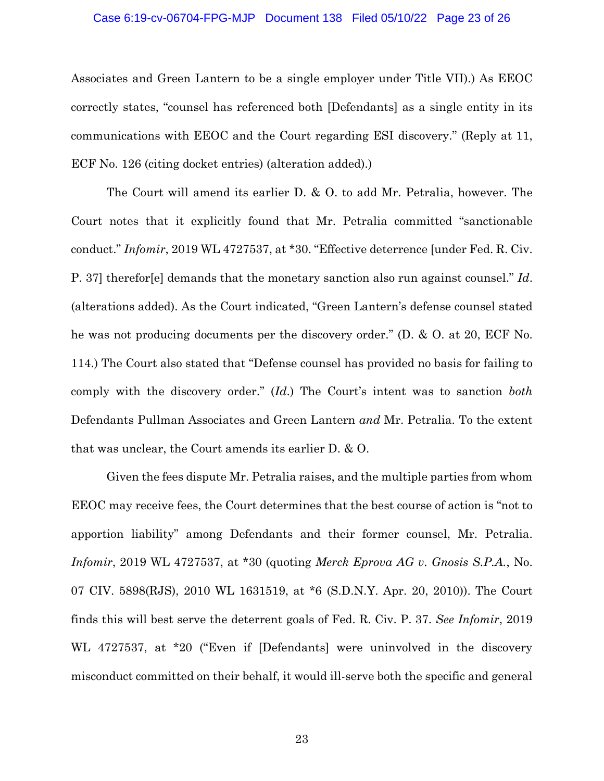### Case 6:19-cv-06704-FPG-MJP Document 138 Filed 05/10/22 Page 23 of 26

Associates and Green Lantern to be a single employer under Title VII).) As EEOC correctly states, "counsel has referenced both [Defendants] as a single entity in its communications with EEOC and the Court regarding ESI discovery." (Reply at 11, ECF No. 126 (citing docket entries) (alteration added).)

The Court will amend its earlier D. & O. to add Mr. Petralia, however. The Court notes that it explicitly found that Mr. Petralia committed "sanctionable conduct." *Infomir*, 2019 WL 4727537, at \*30. "Effective deterrence [under Fed. R. Civ. P. 37] therefor[e] demands that the monetary sanction also run against counsel." *Id*. (alterations added). As the Court indicated, "Green Lantern's defense counsel stated he was not producing documents per the discovery order." (D. & O. at 20, ECF No. 114.) The Court also stated that "Defense counsel has provided no basis for failing to comply with the discovery order." (*Id*.) The Court's intent was to sanction *both*  Defendants Pullman Associates and Green Lantern *and* Mr. Petralia. To the extent that was unclear, the Court amends its earlier D. & O.

Given the fees dispute Mr. Petralia raises, and the multiple parties from whom EEOC may receive fees, the Court determines that the best course of action is "not to apportion liability" among Defendants and their former counsel, Mr. Petralia. *Infomir*, 2019 WL 4727537, at \*30 (quoting *Merck Eprova AG v. Gnosis S.P.A.*, No. 07 CIV. 5898(RJS), 2010 WL 1631519, at \*6 (S.D.N.Y. Apr. 20, 2010)). The Court finds this will best serve the deterrent goals of Fed. R. Civ. P. 37. *See Infomir*, 2019 WL 4727537, at \*20 ("Even if [Defendants] were uninvolved in the discovery misconduct committed on their behalf, it would ill-serve both the specific and general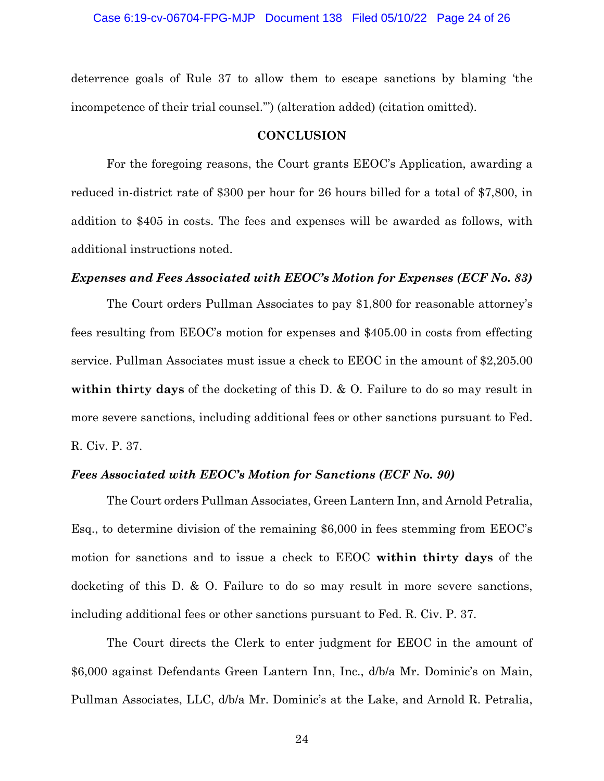deterrence goals of Rule 37 to allow them to escape sanctions by blaming 'the incompetence of their trial counsel.'") (alteration added) (citation omitted).

### **CONCLUSION**

For the foregoing reasons, the Court grants EEOC's Application, awarding a reduced in-district rate of \$300 per hour for 26 hours billed for a total of \$7,800, in addition to \$405 in costs. The fees and expenses will be awarded as follows, with additional instructions noted.

### *Expenses and Fees Associated with EEOC's Motion for Expenses (ECF No. 83)*

The Court orders Pullman Associates to pay \$1,800 for reasonable attorney's fees resulting from EEOC's motion for expenses and \$405.00 in costs from effecting service. Pullman Associates must issue a check to EEOC in the amount of \$2,205.00 **within thirty days** of the docketing of this D. & O. Failure to do so may result in more severe sanctions, including additional fees or other sanctions pursuant to Fed. R. Civ. P. 37.

### *Fees Associated with EEOC's Motion for Sanctions (ECF No. 90)*

The Court orders Pullman Associates, Green Lantern Inn, and Arnold Petralia, Esq., to determine division of the remaining \$6,000 in fees stemming from EEOC's motion for sanctions and to issue a check to EEOC **within thirty days** of the docketing of this D. & O. Failure to do so may result in more severe sanctions, including additional fees or other sanctions pursuant to Fed. R. Civ. P. 37.

The Court directs the Clerk to enter judgment for EEOC in the amount of \$6,000 against Defendants Green Lantern Inn, Inc., d/b/a Mr. Dominic's on Main, Pullman Associates, LLC, d/b/a Mr. Dominic's at the Lake, and Arnold R. Petralia,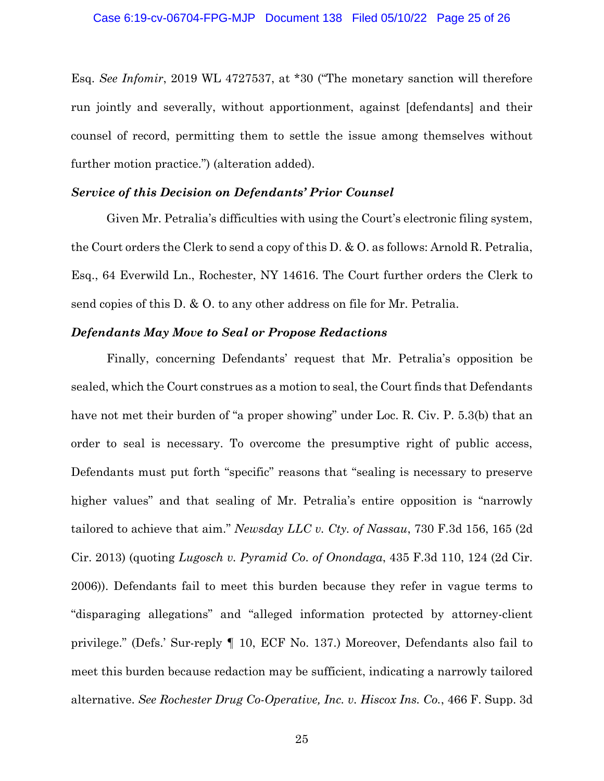Esq. *See Infomir*, 2019 WL 4727537, at \*30 ("The monetary sanction will therefore run jointly and severally, without apportionment, against [defendants] and their counsel of record, permitting them to settle the issue among themselves without further motion practice.") (alteration added).

### *Service of this Decision on Defendants' Prior Counsel*

Given Mr. Petralia's difficulties with using the Court's electronic filing system, the Court orders the Clerk to send a copy of this D. & O. as follows: Arnold R. Petralia, Esq., 64 Everwild Ln., Rochester, NY 14616. The Court further orders the Clerk to send copies of this D. & O. to any other address on file for Mr. Petralia.

### *Defendants May Move to Seal or Propose Redactions*

Finally, concerning Defendants' request that Mr. Petralia's opposition be sealed, which the Court construes as a motion to seal, the Court finds that Defendants have not met their burden of "a proper showing" under Loc. R. Civ. P. 5.3(b) that an order to seal is necessary. To overcome the presumptive right of public access, Defendants must put forth "specific" reasons that "sealing is necessary to preserve higher values" and that sealing of Mr. Petralia's entire opposition is "narrowly" tailored to achieve that aim." *Newsday LLC v. Cty. of Nassau*, 730 F.3d 156, 165 (2d Cir. 2013) (quoting *Lugosch v. Pyramid Co. of Onondaga*, 435 F.3d 110, 124 (2d Cir. 2006)). Defendants fail to meet this burden because they refer in vague terms to "disparaging allegations" and "alleged information protected by attorney-client privilege." (Defs.' Sur-reply ¶ 10, ECF No. 137.) Moreover, Defendants also fail to meet this burden because redaction may be sufficient, indicating a narrowly tailored alternative. *See Rochester Drug Co-Operative, Inc. v. Hiscox Ins. Co.*, 466 F. Supp. 3d